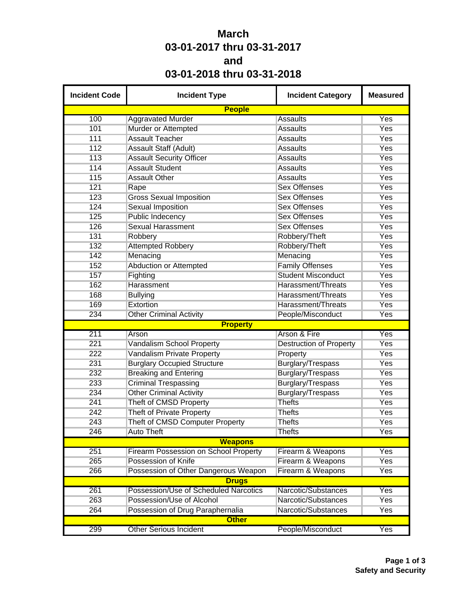## **March 03-01-2017 thru 03-31-2017 and 03-01-2018 thru 03-31-2018**

| <b>Incident Code</b> | <b>Incident Type</b>                         | <b>Incident Category</b>       | <b>Measured</b> |
|----------------------|----------------------------------------------|--------------------------------|-----------------|
|                      | <b>People</b>                                |                                |                 |
| 100                  | <b>Aggravated Murder</b>                     | <b>Assaults</b>                | Yes             |
| 101                  | Murder or Attempted                          | <b>Assaults</b>                | Yes             |
| 111                  | <b>Assault Teacher</b>                       | <b>Assaults</b>                | Yes             |
| 112                  | Assault Staff (Adult)                        | <b>Assaults</b>                | Yes             |
| 113                  | <b>Assault Security Officer</b>              | <b>Assaults</b>                | Yes             |
| 114                  | <b>Assault Student</b>                       | <b>Assaults</b>                | Yes             |
| 115                  | <b>Assault Other</b>                         | <b>Assaults</b>                | <b>Yes</b>      |
| 121                  | Rape                                         | <b>Sex Offenses</b>            | <b>Yes</b>      |
| 123                  | <b>Gross Sexual Imposition</b>               | <b>Sex Offenses</b>            | Yes             |
| 124                  | <b>Sexual Imposition</b>                     | <b>Sex Offenses</b>            | <b>Yes</b>      |
| 125                  | <b>Public Indecency</b>                      | <b>Sex Offenses</b>            | Yes             |
| 126                  | <b>Sexual Harassment</b>                     | <b>Sex Offenses</b>            | Yes             |
| 131                  | Robbery                                      | Robbery/Theft                  | <b>Yes</b>      |
| 132                  | <b>Attempted Robbery</b>                     | Robbery/Theft                  | Yes             |
| 142                  | Menacing                                     | Menacing                       | Yes             |
| 152                  | Abduction or Attempted                       | <b>Family Offenses</b>         | <b>Yes</b>      |
| 157                  | Fighting                                     | <b>Student Misconduct</b>      | Yes             |
| 162                  | Harassment                                   | Harassment/Threats             | Yes             |
| 168                  | <b>Bullying</b>                              | Harassment/Threats             | <b>Yes</b>      |
| 169                  | Extortion                                    | Harassment/Threats             | Yes             |
| 234                  | <b>Other Criminal Activity</b>               | People/Misconduct              | Yes             |
|                      | <b>Property</b>                              |                                |                 |
| 211                  | Arson                                        | Arson & Fire                   | Yes             |
| 221                  | Vandalism School Property                    | <b>Destruction of Property</b> | <b>Yes</b>      |
| 222                  | Vandalism Private Property                   | Property                       | Yes             |
| 231                  | <b>Burglary Occupied Structure</b>           | <b>Burglary/Trespass</b>       | Yes             |
| 232                  | <b>Breaking and Entering</b>                 | Burglary/Trespass              | Yes             |
| 233                  | <b>Criminal Trespassing</b>                  | <b>Burglary/Trespass</b>       | <b>Yes</b>      |
| 234                  | <b>Other Criminal Activity</b>               | Burglary/Trespass              | Yes             |
| 241                  | Theft of CMSD Property                       | <b>Thefts</b>                  | Yes             |
| 242                  | <b>Theft of Private Property</b>             | <b>Thefts</b>                  | Yes             |
| 243                  | Theft of CMSD Computer Property              | <b>Thefts</b>                  | Yes             |
| 246                  | <b>Auto Theft</b>                            | <b>Thefts</b>                  | Yes             |
|                      | <b>Weapons</b>                               |                                |                 |
| 251                  | <b>Firearm Possession on School Property</b> | Firearm & Weapons              | Yes             |
| 265                  | Possession of Knife                          | Firearm & Weapons              | <b>Yes</b>      |
| 266                  | Possession of Other Dangerous Weapon         | Firearm & Weapons              | Yes             |
|                      | <b>Drugs</b>                                 |                                |                 |
| 261                  | Possession/Use of Scheduled Narcotics        | Narcotic/Substances            | Yes             |
| 263                  | Possession/Use of Alcohol                    | Narcotic/Substances            | <b>Yes</b>      |
| 264                  | Possession of Drug Paraphernalia             | Narcotic/Substances            | Yes             |
|                      | <b>Other</b>                                 |                                |                 |
| 299                  | <b>Other Serious Incident</b>                | People/Misconduct              | Yes             |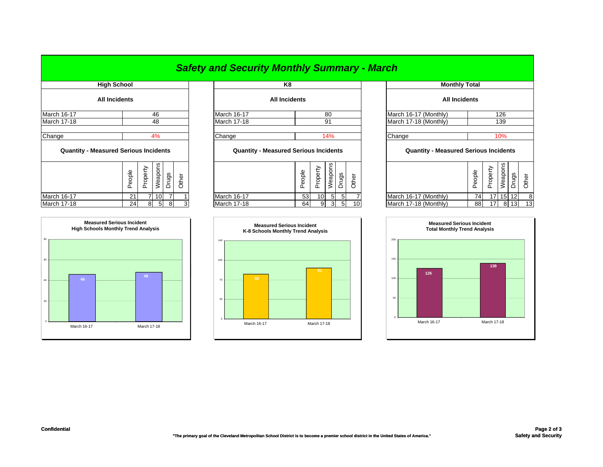### *Safety and Security Monthly Summary - March*

|                    | <b>High School</b>                           |                                              | K8                   |                        | M                     |  |  |  |
|--------------------|----------------------------------------------|----------------------------------------------|----------------------|------------------------|-----------------------|--|--|--|
|                    | <b>All Incidents</b>                         |                                              | <b>All Incidents</b> |                        |                       |  |  |  |
| <b>March 16-17</b> | 46                                           | March 16-17                                  | 80                   |                        | March 16-17 (Monthly) |  |  |  |
| <b>March 17-18</b> | 48                                           | March 17-18                                  | 91                   |                        | March 17-18 (Monthly) |  |  |  |
| Change             | 4%                                           | Change                                       | 14%                  | Change                 |                       |  |  |  |
|                    | <b>Quantity - Measured Serious Incidents</b> | <b>Quantity - Measured Serious Incidents</b> |                      | <b>Quantity - Meas</b> |                       |  |  |  |

|                    | gldo<br>Φ | ≏<br>roper | ទី<br>Weapo | rugs | the |
|--------------------|-----------|------------|-------------|------|-----|
| <b>March 16-17</b> | 21        |            | 10          |      |     |
| <b>March 17-18</b> | 24        |            | 5           |      |     |



|           |                    | no.                  |
|-----------|--------------------|----------------------|
|           |                    | <b>All Incidents</b> |
| <u>46</u> | March 16-17        | 80                   |
| 48        | <b>March 17-18</b> | 91                   |
|           |                    |                      |
| 4%        | Change             | 14%                  |
|           |                    |                      |

### **Quantity - Measured Serious Incidents Quantity - Measured Serious Incidents Quantity - Measured Serious Incidents**

| ۵ū<br>ၯ<br>U)<br>≏<br>≏<br>≍<br>Φ<br>മ<br>U<br>Ψ<br>ັ                                                                                                                 | ഗ       |
|-----------------------------------------------------------------------------------------------------------------------------------------------------------------------|---------|
| ഗ<br>Φ<br>န္ထ<br>$\epsilon$<br>≂<br>흐<br>≂<br>ఠ<br>∽<br>∸<br>ಕ<br>∸<br>ත<br>Ф<br>ᅭ<br>௨<br>∸<br>∸<br>ັ<br>Ф<br>Φ<br>◡<br>Φ<br>௨<br>ட<br>ட<br>ш.<br><b>.</b><br>ㅛ<br>┙ | ত<br>တ၊ |
| March 16-17 (Monthly)<br>53<br>741<br>$15$ 12<br>March 16-17<br><b>March 16-17</b><br>17 <sup>1</sup><br>$5 \mid$<br>10I<br>10 <sup>1</sup><br>ົ<br><u>_</u>          |         |
| 8 13<br>March 17-18 (Monthly)<br>10<br>March 17-18<br><b>March 17-18</b><br>88<br>64<br>24 <sub>1</sub><br>3<br>17<br>9<br>o<br>O.<br>ີ                               | 13      |



| <b>High School</b>       |        |          |                 |                |       |  |                          | K8                                           |        |                 |                |                |                       | <b>Monthly Total</b>                         |        |                 |                 |                 |       |
|--------------------------|--------|----------|-----------------|----------------|-------|--|--------------------------|----------------------------------------------|--------|-----------------|----------------|----------------|-----------------------|----------------------------------------------|--------|-----------------|-----------------|-----------------|-------|
| All Incidents            |        |          |                 |                |       |  |                          | <b>All Incidents</b>                         |        |                 |                |                |                       | <b>All Incidents</b>                         |        |                 |                 |                 |       |
|                          | 46     |          |                 |                |       |  | 80<br><b>March 16-17</b> |                                              |        |                 |                |                | March 16-17 (Monthly) |                                              |        | 126             |                 |                 |       |
|                          | 48     |          |                 |                |       |  | March 17-18              |                                              |        |                 | 91             |                |                       | March 17-18 (Monthly)                        |        |                 | 139             |                 |       |
| 4%                       |        |          |                 |                |       |  | Change                   |                                              | 14%    |                 |                |                |                       | Change                                       | 10%    |                 |                 |                 |       |
| asured Serious Incidents |        |          |                 |                |       |  |                          | <b>Quantity - Measured Serious Incidents</b> |        |                 |                |                |                       | <b>Quantity - Measured Serious Incidents</b> |        |                 |                 |                 |       |
|                          | People | Property | Weapons         | Drugs          | Other |  |                          |                                              | People | Property        | Weapons        | Drugs          | Other                 |                                              | People | Property        | Weapons         | Drugs           | Other |
|                          | 21     |          | 10 <sub>l</sub> | $\overline{7}$ |       |  | <b>March 16-17</b>       |                                              | 53     | 10 <sup>1</sup> | 5 <sub>5</sub> | 5 <sub>l</sub> |                       | March 16-17 (Monthly)                        | 74     | 17 <sup>1</sup> | 15 <sub>l</sub> | 12 <sup>1</sup> | 8     |
|                          | 24     | 8        | 5 <sup>1</sup>  | 8              |       |  | March 17-18              |                                              | 64     | 9 <sup>1</sup>  | 3              | 5 <sup>1</sup> | 10                    | March 17-18 (Monthly)                        | 88     | 17 <sub>1</sub> | 8               | 13 <sup>1</sup> | 13    |